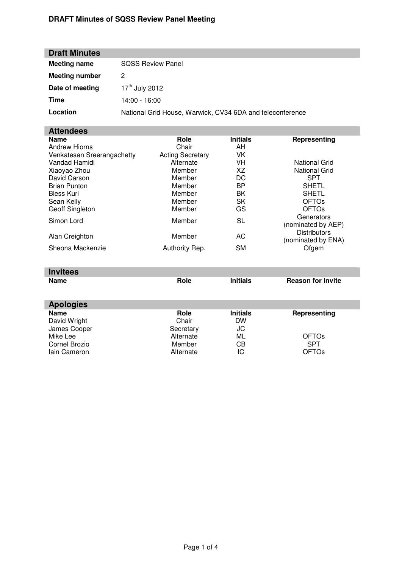# **DRAFT Minutes of SQSS Review Panel Meeting**

| <b>Draft Minutes</b>  |                                                           |
|-----------------------|-----------------------------------------------------------|
| <b>Meeting name</b>   | <b>SOSS Review Panel</b>                                  |
| <b>Meeting number</b> | 2                                                         |
| Date of meeting       | $17th$ July 2012                                          |
| Time                  | $14:00 - 16:00$                                           |
| Location              | National Grid House, Warwick, CV34 6DA and teleconference |

# **Attendees**

| <b>Name</b>                | Role                    | <b>Initials</b> | Representing            |
|----------------------------|-------------------------|-----------------|-------------------------|
| <b>Andrew Hiorns</b>       | Chair                   | AH              |                         |
| Venkatesan Sreerangachetty | <b>Acting Secretary</b> | VK              |                         |
| Vandad Hamidi              | Alternate               | VH              | <b>National Grid</b>    |
| Xiaoyao Zhou               | Member                  | XZ              | <b>National Grid</b>    |
| David Carson               | Member                  | DC              | <b>SPT</b>              |
| <b>Brian Punton</b>        | Member                  | <b>BP</b>       | <b>SHETL</b>            |
| <b>Bless Kuri</b>          | Member                  | BK              | <b>SHETL</b>            |
| Sean Kelly                 | Member                  | SK              | <b>OFTO<sub>s</sub></b> |
| Geoff Singleton            | Member                  | GS              | <b>OFTO<sub>s</sub></b> |
| Simon Lord                 | Member                  | SL              | Generators              |
|                            |                         |                 | (nominated by AEP)      |
| Alan Creighton             | Member                  | AC              | <b>Distributors</b>     |
|                            |                         |                 | (nominated by ENA)      |
| Sheona Mackenzie           | Authority Rep.          | <b>SM</b>       | Ofgem                   |

| <b>Invitees</b>  |           |                 |                          |
|------------------|-----------|-----------------|--------------------------|
| <b>Name</b>      | Role      | <b>Initials</b> | <b>Reason for Invite</b> |
| <b>Apologies</b> |           |                 |                          |
| <b>Name</b>      | Role      | <b>Initials</b> | Representing             |
| David Wright     | Chair     | <b>DW</b>       |                          |
| James Cooper     | Secretary | JC              |                          |
| Mike Lee         | Alternate | ML              | <b>OFTOs</b>             |
| Cornel Brozio    | Member    | СB              | <b>SPT</b>               |
| lain Cameron     | Alternate | ΙC              | <b>OFTOs</b>             |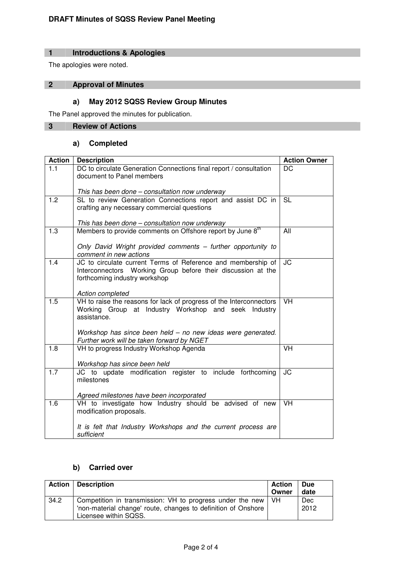# **1 Introductions & Apologies**

The apologies were noted.

# **2 Approval of Minutes**

# **a) May 2012 SQSS Review Group Minutes**

The Panel approved the minutes for publication.

# **3 Review of Actions**

# **a) Completed**

| <b>Action</b>    | <b>Description</b>                                                                                            | <b>Action Owner</b> |
|------------------|---------------------------------------------------------------------------------------------------------------|---------------------|
| 1.1              | DC to circulate Generation Connections final report / consultation                                            | DC                  |
|                  | document to Panel members                                                                                     |                     |
|                  |                                                                                                               |                     |
| 1.2              | This has been done - consultation now underway<br>SL to review Generation Connections report and assist DC in | <b>SL</b>           |
|                  | crafting any necessary commercial questions                                                                   |                     |
|                  |                                                                                                               |                     |
|                  | This has been done – consultation now underway                                                                |                     |
| 1.3              | Members to provide comments on Offshore report by June 8 <sup>th</sup>                                        | All                 |
|                  |                                                                                                               |                     |
|                  | Only David Wright provided comments - further opportunity to<br>comment in new actions                        |                     |
| 1.4              | JC to circulate current Terms of Reference and membership of                                                  | <b>JC</b>           |
|                  | Interconnectors Working Group before their discussion at the                                                  |                     |
|                  | forthcoming industry workshop                                                                                 |                     |
|                  |                                                                                                               |                     |
| $\overline{1.5}$ | Action completed<br>VH to raise the reasons for lack of progress of the Interconnectors                       | <b>VH</b>           |
|                  | Working Group at Industry Workshop and seek Industry                                                          |                     |
|                  | assistance.                                                                                                   |                     |
|                  |                                                                                                               |                     |
|                  | Workshop has since been held - no new ideas were generated.                                                   |                     |
|                  | Further work will be taken forward by NGET                                                                    | <b>VH</b>           |
| 1.8              | VH to progress Industry Workshop Agenda                                                                       |                     |
|                  | Workshop has since been held                                                                                  |                     |
| 1.7              | JC to update modification register to include forthcoming                                                     | <b>JC</b>           |
|                  | milestones                                                                                                    |                     |
|                  |                                                                                                               |                     |
| 1.6              | Agreed milestones have been incorporated<br>VH to investigate how Industry should be advised of new           | <b>VH</b>           |
|                  | modification proposals.                                                                                       |                     |
|                  |                                                                                                               |                     |
|                  | It is felt that Industry Workshops and the current process are                                                |                     |
|                  | sufficient                                                                                                    |                     |

# **b) Carried over**

|      | <b>Action   Description</b>                                                                                                                              | Action<br>Owner | <b>Due</b><br>date |
|------|----------------------------------------------------------------------------------------------------------------------------------------------------------|-----------------|--------------------|
| 34.2 | Competition in transmission: VH to progress under the new   VH<br>'non-material change' route, changes to definition of Onshore<br>Licensee within SQSS. |                 | <b>Dec</b><br>2012 |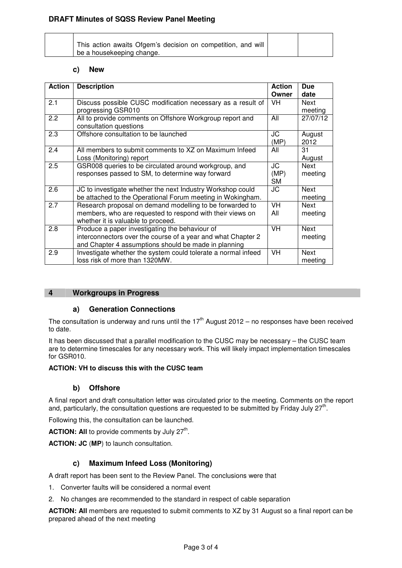| This action awaits Ofgem's decision on competition, and will |  |
|--------------------------------------------------------------|--|
| be a housekeeping change.                                    |  |

#### **c) New**

| <b>Action</b> | <b>Description</b>                                            | <b>Action</b> | <b>Due</b> |
|---------------|---------------------------------------------------------------|---------------|------------|
|               |                                                               | Owner         | date       |
| 2.1           | Discuss possible CUSC modification necessary as a result of   | VH            | Next       |
|               | progressing GSR010                                            |               | meeting    |
| 2.2           | All to provide comments on Offshore Workgroup report and      | All           | 27/07/12   |
|               |                                                               |               |            |
|               | consultation questions                                        |               |            |
| 2.3           | Offshore consultation to be launched                          | JC            | August     |
|               |                                                               | (MP)          | 2012       |
| 2.4           | All members to submit comments to XZ on Maximum Infeed        | All           | 31         |
|               | Loss (Monitoring) report                                      |               | August     |
| 2.5           | GSR008 queries to be circulated around workgroup, and         | JC            | Next       |
|               |                                                               |               |            |
|               | responses passed to SM, to determine way forward              | (MP)          | meeting    |
|               |                                                               | <b>SM</b>     |            |
| 2.6           | JC to investigate whether the next Industry Workshop could    | JC            | Next       |
|               | be attached to the Operational Forum meeting in Wokingham.    |               | meeting    |
| 2.7           | Research proposal on demand modelling to be forwarded to      | VH            | Next       |
|               | members, who are requested to respond with their views on     | All           | meeting    |
|               |                                                               |               |            |
|               | whether it is valuable to proceed.                            |               |            |
| 2.8           | Produce a paper investigating the behaviour of                | <b>VH</b>     | Next       |
|               | interconnectors over the course of a year and what Chapter 2  |               | meeting    |
|               | and Chapter 4 assumptions should be made in planning          |               |            |
| 2.9           | Investigate whether the system could tolerate a normal infeed | VH            | Next       |
|               | loss risk of more than 1320MW.                                |               | meeting    |
|               |                                                               |               |            |

#### **4 Workgroups in Progress**

#### **a) Generation Connections**

The consultation is underway and runs until the  $17<sup>th</sup>$  August 2012 – no responses have been received to date.

It has been discussed that a parallel modification to the CUSC may be necessary – the CUSC team are to determine timescales for any necessary work. This will likely impact implementation timescales for GSR010.

#### **ACTION: VH to discuss this with the CUSC team**

#### **b) Offshore**

A final report and draft consultation letter was circulated prior to the meeting. Comments on the report and, particularly, the consultation questions are requested to be submitted by Friday July 27<sup>th</sup>.

Following this, the consultation can be launched.

**ACTION: All** to provide comments by July  $27<sup>th</sup>$ .

**ACTION: JC** (**MP**) to launch consultation.

### **c) Maximum Infeed Loss (Monitoring)**

A draft report has been sent to the Review Panel. The conclusions were that

1. Converter faults will be considered a normal event

2. No changes are recommended to the standard in respect of cable separation

**ACTION: All** members are requested to submit comments to XZ by 31 August so a final report can be prepared ahead of the next meeting